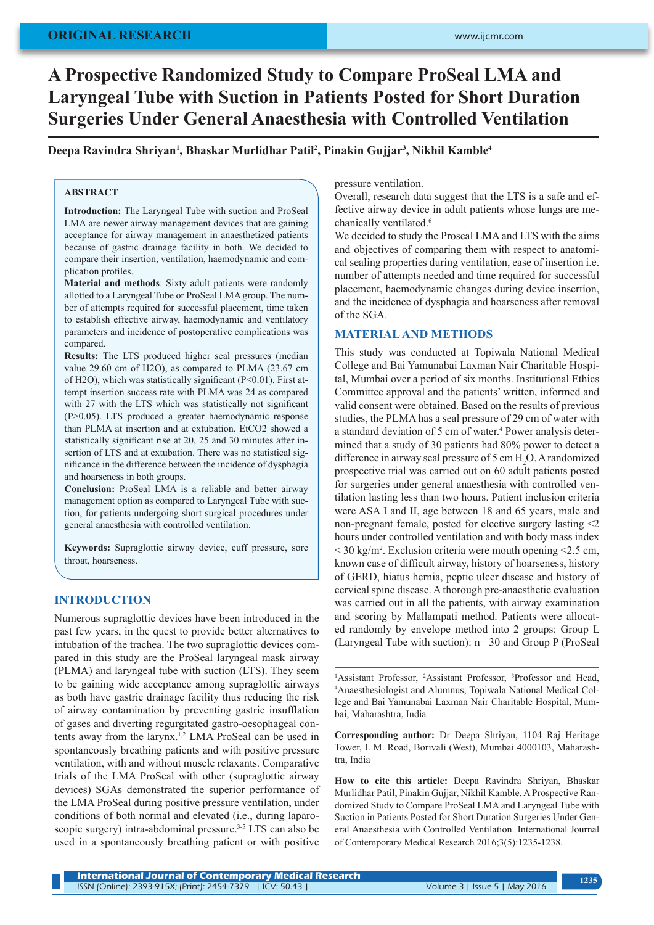# **A Prospective Randomized Study to Compare ProSeal LMA and Laryngeal Tube with Suction in Patients Posted for Short Duration Surgeries Under General Anaesthesia with Controlled Ventilation**

Deepa Ravindra Shriyan<sup>ı</sup>, Bhaskar Murlidhar Patil<sup>2</sup>, Pinakin Gujjar<sup>3</sup>, Nikhil Kamble<sup>4</sup>

# **ABSTRACT**

**Introduction:** The Laryngeal Tube with suction and ProSeal LMA are newer airway management devices that are gaining acceptance for airway management in anaesthetized patients because of gastric drainage facility in both. We decided to compare their insertion, ventilation, haemodynamic and complication profiles.

**Material and methods**: Sixty adult patients were randomly allotted to a Laryngeal Tube or ProSeal LMA group. The number of attempts required for successful placement, time taken to establish effective airway, haemodynamic and ventilatory parameters and incidence of postoperative complications was compared.

**Results:** The LTS produced higher seal pressures (median value 29.60 cm of H2O), as compared to PLMA (23.67 cm of H2O), which was statistically significant (P<0.01). First attempt insertion success rate with PLMA was 24 as compared with 27 with the LTS which was statistically not significant (P>0.05). LTS produced a greater haemodynamic response than PLMA at insertion and at extubation. EtCO2 showed a statistically significant rise at 20, 25 and 30 minutes after insertion of LTS and at extubation. There was no statistical significance in the difference between the incidence of dysphagia and hoarseness in both groups.

**Conclusion:** ProSeal LMA is a reliable and better airway management option as compared to Laryngeal Tube with suction, for patients undergoing short surgical procedures under general anaesthesia with controlled ventilation.

**Keywords:** Supraglottic airway device, cuff pressure, sore throat, hoarseness.

## **INTRODUCTION**

Numerous supraglottic devices have been introduced in the past few years, in the quest to provide better alternatives to intubation of the trachea. The two supraglottic devices compared in this study are the ProSeal laryngeal mask airway (PLMA) and laryngeal tube with suction (LTS). They seem to be gaining wide acceptance among supraglottic airways as both have gastric drainage facility thus reducing the risk of airway contamination by preventing gastric insufflation of gases and diverting regurgitated gastro-oesophageal contents away from the larynx.<sup>1,2</sup> LMA ProSeal can be used in spontaneously breathing patients and with positive pressure ventilation, with and without muscle relaxants. Comparative trials of the LMA ProSeal with other (supraglottic airway devices) SGAs demonstrated the superior performance of the LMA ProSeal during positive pressure ventilation, under conditions of both normal and elevated (i.e., during laparoscopic surgery) intra-abdominal pressure.<sup>3-5</sup> LTS can also be used in a spontaneously breathing patient or with positive

pressure ventilation.

Overall, research data suggest that the LTS is a safe and effective airway device in adult patients whose lungs are mechanically ventilated.<sup>6</sup>

We decided to study the Proseal LMA and LTS with the aims and objectives of comparing them with respect to anatomical sealing properties during ventilation, ease of insertion i.e. number of attempts needed and time required for successful placement, haemodynamic changes during device insertion, and the incidence of dysphagia and hoarseness after removal of the SGA.

#### **MATERIAL AND METHODS**

This study was conducted at Topiwala National Medical College and Bai Yamunabai Laxman Nair Charitable Hospital, Mumbai over a period of six months. Institutional Ethics Committee approval and the patients' written, informed and valid consent were obtained. Based on the results of previous studies, the PLMA has a seal pressure of 29 cm of water with a standard deviation of 5 cm of water.<sup>4</sup> Power analysis determined that a study of 30 patients had 80% power to detect a difference in airway seal pressure of 5 cm  $H_2O$ . A randomized prospective trial was carried out on 60 adult patients posted for surgeries under general anaesthesia with controlled ventilation lasting less than two hours. Patient inclusion criteria were ASA I and II, age between 18 and 65 years, male and non-pregnant female, posted for elective surgery lasting <2 hours under controlled ventilation and with body mass index  $\leq$  30 kg/m<sup>2</sup>. Exclusion criteria were mouth opening  $\leq$  2.5 cm, known case of difficult airway, history of hoarseness, history of GERD, hiatus hernia, peptic ulcer disease and history of cervical spine disease. A thorough pre-anaesthetic evaluation was carried out in all the patients, with airway examination and scoring by Mallampati method. Patients were allocated randomly by envelope method into 2 groups: Group L (Laryngeal Tube with suction): n= 30 and Group P (ProSeal

**Corresponding author:** Dr Deepa Shriyan, 1104 Raj Heritage Tower, L.M. Road, Borivali (West), Mumbai 4000103, Maharashtra, India

**How to cite this article:** Deepa Ravindra Shriyan, Bhaskar Murlidhar Patil, Pinakin Gujjar, Nikhil Kamble. A Prospective Randomized Study to Compare ProSeal LMA and Laryngeal Tube with Suction in Patients Posted for Short Duration Surgeries Under General Anaesthesia with Controlled Ventilation. International Journal of Contemporary Medical Research 2016;3(5):1235-1238.

<sup>&</sup>lt;sup>1</sup>Assistant Professor, <sup>2</sup>Assistant Professor, <sup>3</sup>Professor and Head, <sup>4</sup>Anaesthesiologist and Alumnus Toniwala National Medical Col-Anaesthesiologist and Alumnus, Topiwala National Medical College and Bai Yamunabai Laxman Nair Charitable Hospital, Mumbai, Maharashtra, India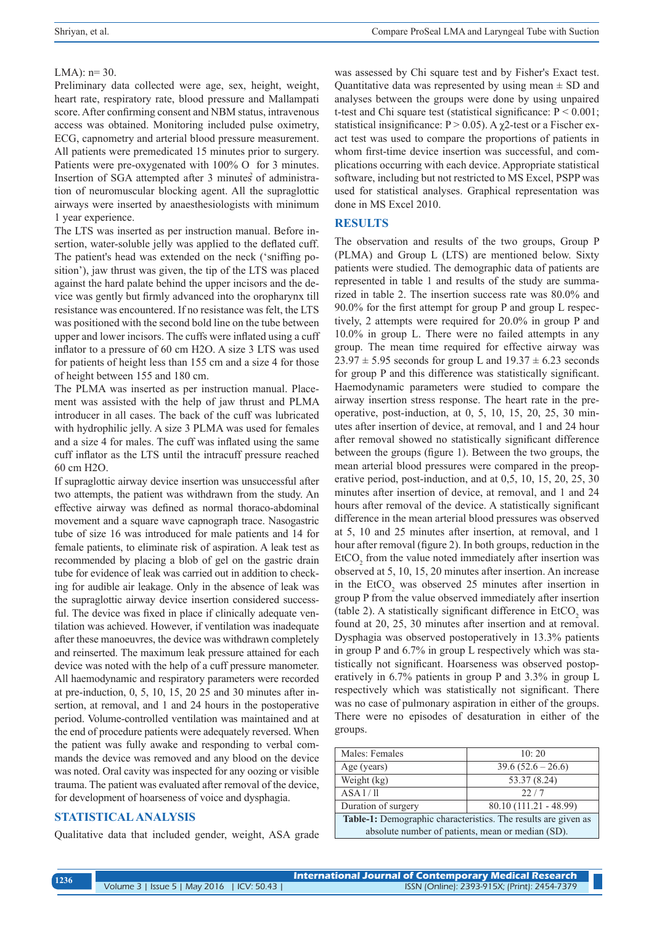#### LMA):  $n=30$ .

Preliminary data collected were age, sex, height, weight, heart rate, respiratory rate, blood pressure and Mallampati score. After confirming consent and NBM status, intravenous access was obtained. Monitoring included pulse oximetry, ECG, capnometry and arterial blood pressure measurement. All patients were premedicated 15 minutes prior to surgery. Patients were pre-oxygenated with 100% O for 3 minutes. Insertion of SGA attempted after 3 minutes of administration of neuromuscular blocking agent. All the supraglottic airways were inserted by anaesthesiologists with minimum 1 year experience.

The LTS was inserted as per instruction manual. Before insertion, water-soluble jelly was applied to the deflated cuff. The patient's head was extended on the neck ('sniffing position'), jaw thrust was given, the tip of the LTS was placed against the hard palate behind the upper incisors and the device was gently but firmly advanced into the oropharynx till resistance was encountered. If no resistance was felt, the LTS was positioned with the second bold line on the tube between upper and lower incisors. The cuffs were inflated using a cuff inflator to a pressure of 60 cm H2O. A size 3 LTS was used for patients of height less than 155 cm and a size 4 for those of height between 155 and 180 cm.

The PLMA was inserted as per instruction manual. Placement was assisted with the help of jaw thrust and PLMA introducer in all cases. The back of the cuff was lubricated with hydrophilic jelly. A size 3 PLMA was used for females and a size 4 for males. The cuff was inflated using the same cuff inflator as the LTS until the intracuff pressure reached 60 cm H2O.

If supraglottic airway device insertion was unsuccessful after two attempts, the patient was withdrawn from the study. An effective airway was defined as normal thoraco-abdominal movement and a square wave capnograph trace. Nasogastric tube of size 16 was introduced for male patients and 14 for female patients, to eliminate risk of aspiration. A leak test as recommended by placing a blob of gel on the gastric drain tube for evidence of leak was carried out in addition to checking for audible air leakage. Only in the absence of leak was the supraglottic airway device insertion considered successful. The device was fixed in place if clinically adequate ventilation was achieved. However, if ventilation was inadequate after these manoeuvres, the device was withdrawn completely and reinserted. The maximum leak pressure attained for each device was noted with the help of a cuff pressure manometer. All haemodynamic and respiratory parameters were recorded at pre-induction, 0, 5, 10, 15, 20 25 and 30 minutes after insertion, at removal, and 1 and 24 hours in the postoperative period. Volume-controlled ventilation was maintained and at the end of procedure patients were adequately reversed. When the patient was fully awake and responding to verbal commands the device was removed and any blood on the device was noted. Oral cavity was inspected for any oozing or visible trauma. The patient was evaluated after removal of the device, for development of hoarseness of voice and dysphagia.

# **STATISTICAL ANALYSIS**

Qualitative data that included gender, weight, ASA grade

was assessed by Chi square test and by Fisher's Exact test. Quantitative data was represented by using mean  $\pm$  SD and analyses between the groups were done by using unpaired t-test and Chi square test (statistical significance:  $P \le 0.001$ ; statistical insignificance:  $P > 0.05$ ). A  $\chi$ 2-test or a Fischer exact test was used to compare the proportions of patients in whom first-time device insertion was successful, and complications occurring with each device. Appropriate statistical software, including but not restricted to MS Excel, PSPP was used for statistical analyses. Graphical representation was done in MS Excel 2010.

#### **RESULTS**

The observation and results of the two groups, Group P (PLMA) and Group L (LTS) are mentioned below. Sixty patients were studied. The demographic data of patients are represented in table 1 and results of the study are summarized in table 2. The insertion success rate was 80.0% and 90.0% for the first attempt for group P and group L respectively, 2 attempts were required for 20.0% in group P and 10.0% in group L. There were no failed attempts in any group. The mean time required for effective airway was  $23.97 \pm 5.95$  seconds for group L and  $19.37 \pm 6.23$  seconds for group P and this difference was statistically significant. Haemodynamic parameters were studied to compare the airway insertion stress response. The heart rate in the preoperative, post-induction, at 0, 5, 10, 15, 20, 25, 30 minutes after insertion of device, at removal, and 1 and 24 hour after removal showed no statistically significant difference between the groups (figure 1). Between the two groups, the mean arterial blood pressures were compared in the preoperative period, post-induction, and at 0,5, 10, 15, 20, 25, 30 minutes after insertion of device, at removal, and 1 and 24 hours after removal of the device. A statistically significant difference in the mean arterial blood pressures was observed at 5, 10 and 25 minutes after insertion, at removal, and 1 hour after removal (figure 2). In both groups, reduction in the  $E<sub>1</sub>CO<sub>2</sub>$  from the value noted immediately after insertion was observed at 5, 10, 15, 20 minutes after insertion. An increase in the  $ECO<sub>2</sub>$  was observed 25 minutes after insertion in group P from the value observed immediately after insertion (table 2). A statistically significant difference in  $EtCO<sub>2</sub>$  was found at 20, 25, 30 minutes after insertion and at removal. Dysphagia was observed postoperatively in 13.3% patients in group P and 6.7% in group L respectively which was statistically not significant. Hoarseness was observed postoperatively in 6.7% patients in group P and 3.3% in group L respectively which was statistically not significant. There was no case of pulmonary aspiration in either of the groups. There were no episodes of desaturation in either of the groups.

| Males: Females                                                        | 10:20                  |  |  |  |
|-----------------------------------------------------------------------|------------------------|--|--|--|
| Age (years)                                                           | $39.6 (52.6 - 26.6)$   |  |  |  |
| Weight (kg)                                                           | 53.37 (8.24)           |  |  |  |
| ASA1/11                                                               | 22/7                   |  |  |  |
| Duration of surgery                                                   | 80.10 (111.21 - 48.99) |  |  |  |
| <b>Table-1:</b> Demographic characteristics. The results are given as |                        |  |  |  |
| absolute number of patients, mean or median (SD).                     |                        |  |  |  |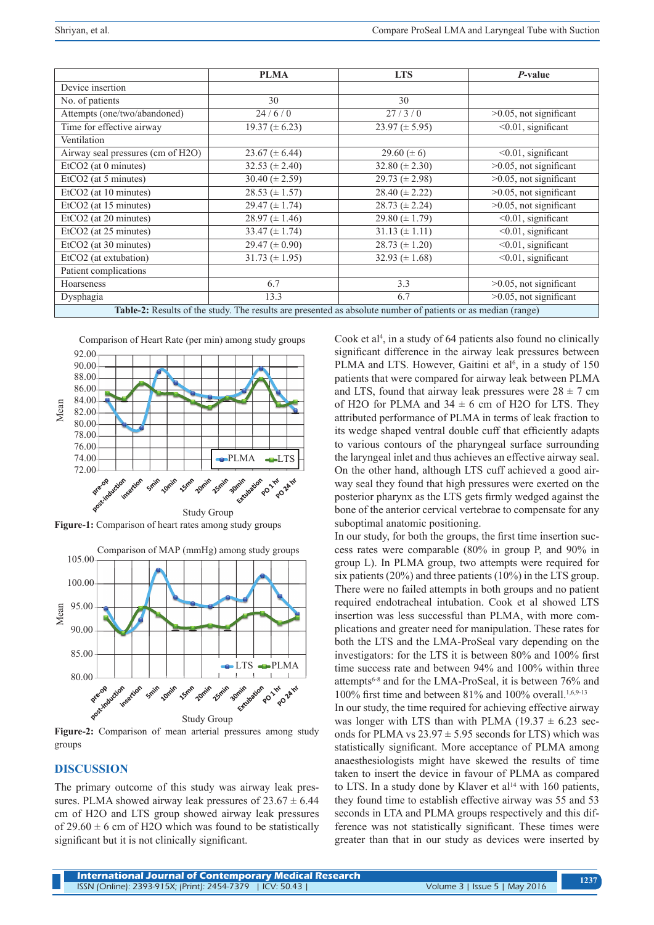|                                                                                                              | <b>PLMA</b>          | <b>LTS</b>           | P-value                     |  |
|--------------------------------------------------------------------------------------------------------------|----------------------|----------------------|-----------------------------|--|
| Device insertion                                                                                             |                      |                      |                             |  |
| No. of patients                                                                                              | 30                   | 30                   |                             |  |
| Attempts (one/two/abandoned)                                                                                 | 24/6/0               | 27/3/0               | $>0.05$ , not significant   |  |
| Time for effective airway                                                                                    | $19.37 \ (\pm 6.23)$ | $23.97 \ (\pm 5.95)$ | $< 0.01$ , significant      |  |
| Ventilation                                                                                                  |                      |                      |                             |  |
| Airway seal pressures (cm of H2O)                                                                            | $23.67 \ (\pm 6.44)$ | 29.60 $(\pm 6)$      | $<$ 0.01, significant       |  |
| $EtCO2$ (at 0 minutes)                                                                                       | 32.53 $(\pm 2.40)$   | 32.80 ( $\pm$ 2.30)  | $>0.05$ , not significant   |  |
| EtCO <sub>2</sub> (at 5 minutes)                                                                             | 30.40 ( $\pm$ 2.59)  | 29.73 ( $\pm$ 2.98)  | $>0.05$ , not significant   |  |
| EtCO2 (at 10 minutes)                                                                                        | $28.53 \ (\pm 1.57)$ | $28.40 (\pm 2.22)$   | $>0.05$ , not significant   |  |
| EtCO <sub>2</sub> (at 15 minutes)                                                                            | $29.47 \ (\pm 1.74)$ | $28.73 \ (\pm 2.24)$ | $>0.05$ , not significant   |  |
| EtCO2 (at 20 minutes)                                                                                        | $28.97 \ (\pm 1.46)$ | 29.80 ( $\pm$ 1.79)  | $<$ 0.01, significant       |  |
| EtCO2 (at 25 minutes)                                                                                        | 33.47 $(\pm 1.74)$   | $31.13 \ (\pm 1.11)$ | $< 0.01$ , significant      |  |
| EtCO2 (at 30 minutes)                                                                                        | 29.47 ( $\pm$ 0.90)  | $28.73 \ (\pm 1.20)$ | $\sqrt{0.01}$ , significant |  |
| EtCO2 (at extubation)                                                                                        | 31.73 ( $\pm$ 1.95)  | 32.93 ( $\pm$ 1.68)  | $< 0.01$ , significant      |  |
| Patient complications                                                                                        |                      |                      |                             |  |
| Hoarseness                                                                                                   | 6.7                  | 3.3                  | $>0.05$ , not significant   |  |
| Dysphagia                                                                                                    | 13.3                 | 6.7                  | $>0.05$ , not significant   |  |
| Table-2: Results of the study. The results are presented as absolute number of patients or as median (range) |                      |                      |                             |  |



**Figure-1:** Comparison of heart rates among study groups



**Figure-2:** Comparison of mean arterial pressures among study groups

## **DISCUSSION**

The primary outcome of this study was airway leak pressures. PLMA showed airway leak pressures of  $23.67 \pm 6.44$ cm of H2O and LTS group showed airway leak pressures of 29.60  $\pm$  6 cm of H2O which was found to be statistically significant but it is not clinically significant.

Cook et al<sup>4</sup>, in a study of 64 patients also found no clinically significant difference in the airway leak pressures between PLMA and LTS. However, Gaitini et al<sup>6</sup>, in a study of 150 patients that were compared for airway leak between PLMA and LTS, found that airway leak pressures were  $28 \pm 7$  cm of H2O for PLMA and  $34 \pm 6$  cm of H2O for LTS. They attributed performance of PLMA in terms of leak fraction to its wedge shaped ventral double cuff that efficiently adapts to various contours of the pharyngeal surface surrounding the laryngeal inlet and thus achieves an effective airway seal. On the other hand, although LTS cuff achieved a good airway seal they found that high pressures were exerted on the posterior pharynx as the LTS gets firmly wedged against the bone of the anterior cervical vertebrae to compensate for any suboptimal anatomic positioning.

In our study, for both the groups, the first time insertion success rates were comparable (80% in group P, and 90% in group L). In PLMA group, two attempts were required for six patients (20%) and three patients (10%) in the LTS group. There were no failed attempts in both groups and no patient required endotracheal intubation. Cook et al showed LTS insertion was less successful than PLMA, with more complications and greater need for manipulation. These rates for both the LTS and the LMA-ProSeal vary depending on the investigators: for the LTS it is between 80% and 100% first time success rate and between 94% and 100% within three attempts6-8 and for the LMA-ProSeal, it is between 76% and 100% first time and between 81% and 100% overall.<sup>1,6,9-13</sup>

In our study, the time required for achieving effective airway was longer with LTS than with PLMA (19.37  $\pm$  6.23 seconds for PLMA vs  $23.97 \pm 5.95$  seconds for LTS) which was statistically significant. More acceptance of PLMA among anaesthesiologists might have skewed the results of time taken to insert the device in favour of PLMA as compared to LTS. In a study done by Klaver et  $al<sup>14</sup>$  with 160 patients, they found time to establish effective airway was 55 and 53 seconds in LTA and PLMA groups respectively and this difference was not statistically significant. These times were greater than that in our study as devices were inserted by